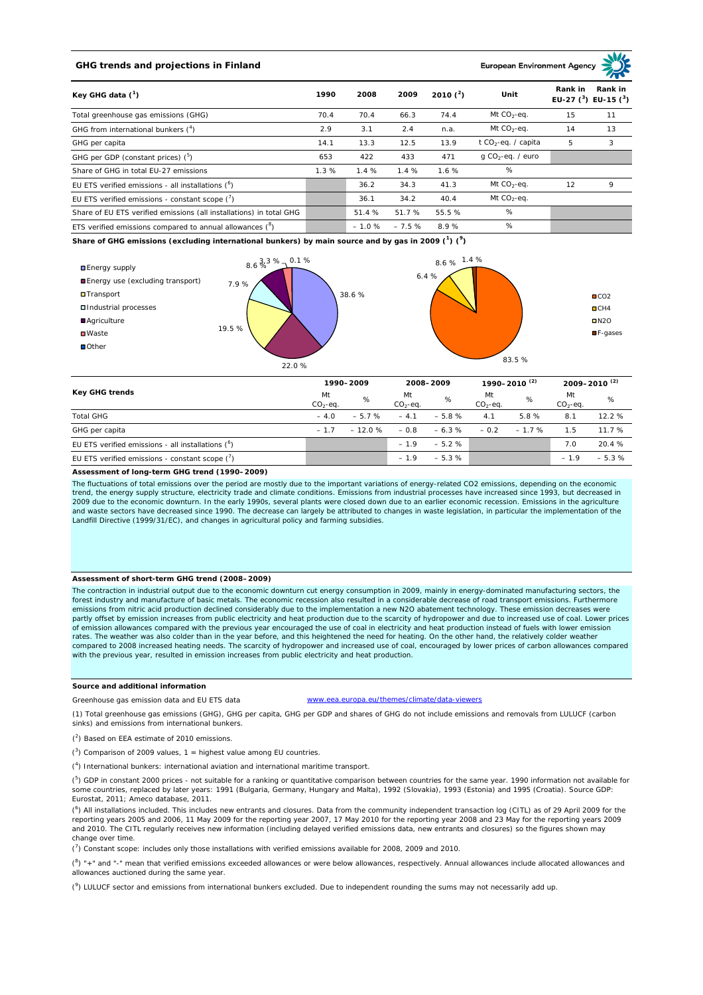# **GHG trends and projections in Finland**

**European Environment Ag** 

| Key GHG data $(^1)$                                                 | 1990 | 2008    | 2009    | 2010 $(^{2})$ | Unit                            | Rank in | Rank in<br>EU-27 $(^3)$ EU-15 $(^3)$ |
|---------------------------------------------------------------------|------|---------|---------|---------------|---------------------------------|---------|--------------------------------------|
| Total greenhouse gas emissions (GHG)                                | 70.4 | 70.4    | 66.3    | 74.4          | Mt $CO_2$ -eq.                  | 15      | 11                                   |
| GHG from international bunkers $(^4)$                               | 2.9  | 3.1     | 2.4     | n.a.          | Mt $CO_2$ -eq.                  | 14      | 13                                   |
| GHG per capita                                                      | 14.1 | 13.3    | 12.5    | 13.9          | t CO <sub>2</sub> -eq. / capita | 5       | 3                                    |
| GHG per GDP (constant prices) ( <sup>5</sup> )                      | 653  | 422     | 433     | 471           | $q$ CO <sub>2</sub> -eq. / euro |         |                                      |
| Share of GHG in total EU-27 emissions                               | 1.3% | 1.4%    | 1.4%    | 1.6%          | %                               |         |                                      |
| EU ETS verified emissions - all installations $(^6)$                |      | 36.2    | 34.3    | 41.3          | Mt $CO_2$ -eq.                  | 12      | 9                                    |
| EU ETS verified emissions - constant scope $(7)$                    |      | 36.1    | 34.2    | 40.4          | Mt $CO_2$ -eq.                  |         |                                      |
| Share of EU ETS verified emissions (all installations) in total GHG |      | 51.4 %  | 51.7 %  | 55.5 %        | %                               |         |                                      |
| ETS verified emissions compared to annual allowances $(^8)$         |      | $-1.0%$ | $-7.5%$ | 8.9%          | %                               |         |                                      |

**Share of GHG emissions (excluding international bunkers) by main source and by gas in 2009 (<sup>1</sup> ) (<sup>9</sup> )**



| <b>Key GHG trends</b>                                |                 | 1990-2009 |                 | 2008-2009 |                 | 1990–2010 <sup>(2)</sup> |                 | $2009 - 2010^{(2)}$ |  |
|------------------------------------------------------|-----------------|-----------|-----------------|-----------|-----------------|--------------------------|-----------------|---------------------|--|
|                                                      | Mt<br>$CO2-eq.$ | %         | Mt<br>$CO2-eq.$ | %         | Mt<br>$CO2-ea.$ | %                        | Mt<br>$CO2-eq.$ | %                   |  |
| <b>Total GHG</b>                                     | $-4.0$          | $-5.7%$   | $-4.1$          | $-5.8%$   | 4.1             | 5.8%                     | 8.1             | 12.2%               |  |
| GHG per capita                                       | $-17$           | $-12.0%$  | $-0.8$          | $-6.3 \%$ | $-0.2$          | $-1.7%$                  | 1.5             | 11.7%               |  |
| EU ETS verified emissions - all installations $(^6)$ |                 |           | $-1.9$          | $-5.2%$   |                 |                          | 7.0             | 20.4 %              |  |
| EU ETS verified emissions - constant scope (')       |                 |           | $-1.9$          | $-5.3%$   |                 |                          | $-1.9$          | $-5.3%$             |  |

### **Assessment of long-term GHG trend (1990–2009)**

The fluctuations of total emissions over the period are mostly due to the important variations of energy-related CO2 emissions, depending on the economic trend, the energy supply structure, electricity trade and climate conditions. Emissions from industrial processes have increased since 1993, but decreased in 2009 due to the economic downturn. In the early 1990s, several plants were closed down due to an earlier economic recession. Emissions in the agriculture<br>and waste sectors have decreased since 1990. The decrease can largel Landfill Directive (1999/31/EC), and changes in agricultural policy and farming subsidies.

### **Assessment of short-term GHG trend (2008–2009)**

The contraction in industrial output due to the economic downturn cut energy consumption in 2009, mainly in energy-dominated manufacturing sectors, the forest industry and manufacture of basic metals. The economic recession also resulted in a considerable decrease of road transport emissions. Furthermore emissions from nitric acid production declined considerably due to the implementation a new N2O abatement technology. These emission decreases were partly offset by emission increases from public electricity and heat production due to the scarcity of hydropower and due to increased use of coal. Lower prices<br>of emission allowances compared with the previous year encour rates. The weather was also colder than in the year before, and this heightened the need for heating. On the other hand, the relatively colder weather compared to 2008 increased heating needs. The scarcity of hydropower and increased use of coal, encouraged by lower prices of carbon allowances compared with the previous year, resulted in emission increases from public electricity and heat production.

## **Source and additional information**

Greenhouse gas emission data and EU ETS data www.eea.europa.eu/themes/climate/data-viewers

(1) Total greenhouse gas emissions (GHG), GHG per capita, GHG per GDP and shares of GHG do not include emissions and removals from LULUCF (carbon sinks) and emissions from international bunkers.

( 2 ) Based on EEA estimate of 2010 emissions.

 $(3)$  Comparison of 2009 values, 1 = highest value among EU countries.

( 4 ) International bunkers: international aviation and international maritime transport.

 $(^{5})$  GDP in constant 2000 prices - not suitable for a ranking or quantitative comparison between countries for the same year. 1990 information not available for some countries, replaced by later years: 1991 (Bulgaria, Germany, Hungary and Malta), 1992 (Slovakia), 1993 (Estonia) and 1995 (Croatia). Source GDP: Eurostat, 2011; Ameco database, 2011.

(<sup>6</sup>) All installations included. This includes new entrants and closures. Data from the community independent transaction log (CITL) as of 29 April 2009 for the<br>reporting years 2005 and 2006, 11 May 2009 for the reporting and 2010. The CITL regularly receives new information (including delayed verified emissions data, new entrants and closures) so the figures shown may change over time.

 $\binom{7}{1}$  Constant scope: includes only those installations with verified emissions available for 2008, 2009 and 2010.

 $(^{8}$ ) " $+$ " and "-" mean that verified emissions exceeded allowances or were below allowances, respectively. Annual allowances include allocated allowances and allowances auctioned during the same year.

 $(2)$  LULUCF sector and emissions from international bunkers excluded. Due to independent rounding the sums may not necessarily add up.